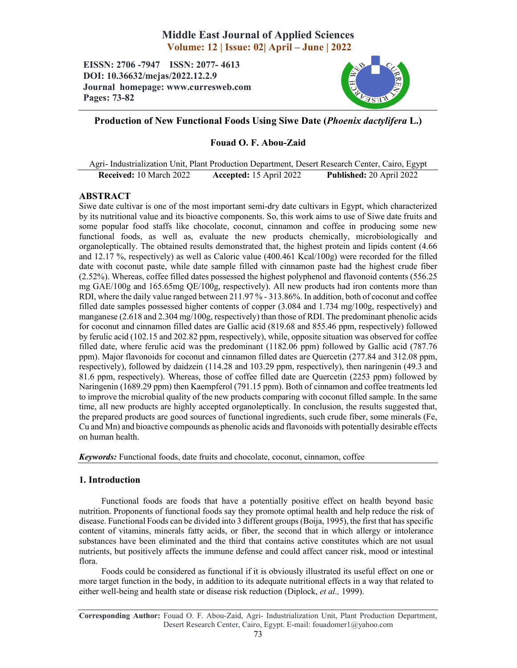# Middle East Journal of Applied Sciences Volume: 12 | Issue: 02| April – June | 2022

EISSN: 2706 -7947 ISSN: 2077- 4613 DOI: 10.36632/mejas/2022.12.2.9 Journal homepage: www.curresweb.com Pages: 73-82



## Production of New Functional Foods Using Siwe Date (*Phoenix dactylifera* L.)

## Fouad O. F. Abou-Zaid

Agri- Industrialization Unit, Plant Production Department, Desert Research Center, Cairo, Egypt Received: 10 March 2022 Accepted: 15 April 2022 Published: 20 April 2022

## ABSTRACT

Siwe date cultivar is one of the most important semi-dry date cultivars in Egypt, which characterized by its nutritional value and its bioactive components. So, this work aims to use of Siwe date fruits and some popular food staffs like chocolate, coconut, cinnamon and coffee in producing some new functional foods, as well as, evaluate the new products chemically, microbiologically and organoleptically. The obtained results demonstrated that, the highest protein and lipids content (4.66 and 12.17 %, respectively) as well as Caloric value (400.461 Kcal/100g) were recorded for the filled date with coconut paste, while date sample filled with cinnamon paste had the highest crude fiber (2.52%). Whereas, coffee filled dates possessed the highest polyphenol and flavonoid contents (556.25 mg GAE/100g and 165.65mg QE/100g, respectively). All new products had iron contents more than RDI, where the daily value ranged between 211.97 % - 313.86%. In addition, both of coconut and coffee filled date samples possessed higher contents of copper (3.084 and 1.734 mg/100g, respectively) and manganese (2.618 and 2.304 mg/100g, respectively) than those of RDI. The predominant phenolic acids for coconut and cinnamon filled dates are Gallic acid (819.68 and 855.46 ppm, respectively) followed by ferulic acid (102.15 and 202.82 ppm, respectively), while, opposite situation was observed for coffee filled date, where ferulic acid was the predominant (1182.06 ppm) followed by Gallic acid (787.76 ppm). Major flavonoids for coconut and cinnamon filled dates are Quercetin (277.84 and 312.08 ppm, respectively), followed by daidzein (114.28 and 103.29 ppm, respectively), then naringenin (49.3 and 81.6 ppm, respectively). Whereas, those of coffee filled date are Quercetin (2253 ppm) followed by Naringenin (1689.29 ppm) then Kaempferol (791.15 ppm). Both of cinnamon and coffee treatments led to improve the microbial quality of the new products comparing with coconut filled sample. In the same time, all new products are highly accepted organoleptically. In conclusion, the results suggested that, the prepared products are good sources of functional ingredients, such crude fiber, some minerals (Fe, Cu and Mn) and bioactive compounds as phenolic acids and flavonoids with potentially desirable effects on human health.

*Keywords:* Functional foods, date fruits and chocolate, coconut, cinnamon, coffee

## 1. Introduction

Functional foods are foods that have a potentially positive effect on health beyond basic nutrition. Proponents of functional foods say they promote optimal health and help reduce the risk of disease. Functional Foods can be divided into 3 different groups (Boija, 1995), the first that has specific content of vitamins, minerals fatty acids, or fiber, the second that in which allergy or intolerance substances have been eliminated and the third that contains active constitutes which are not usual nutrients, but positively affects the immune defense and could affect cancer risk, mood or intestinal flora.

Foods could be considered as functional if it is obviously illustrated its useful effect on one or more target function in the body, in addition to its adequate nutritional effects in a way that related to either well-being and health state or disease risk reduction (Diplock, *et al.,* 1999).

Corresponding Author: Fouad O. F. Abou-Zaid, Agri- Industrialization Unit, Plant Production Department, Desert Research Center, Cairo, Egypt. E-mail: fouadomer1@yahoo.com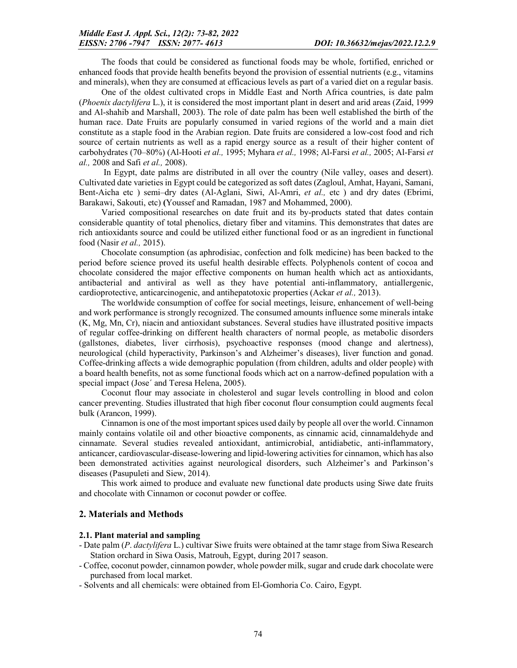The foods that could be considered as functional foods may be whole, fortified, enriched or enhanced foods that provide health benefits beyond the provision of essential nutrients (e.g., vitamins and minerals), when they are consumed at efficacious levels as part of a varied diet on a regular basis.

One of the oldest cultivated crops in Middle East and North Africa countries, is date palm (*Phoenix dactylifera* L.), it is considered the most important plant in desert and arid areas (Zaid, 1999 and Al-shahib and Marshall, 2003). The role of date palm has been well established the birth of the human race. Date Fruits are popularly consumed in varied regions of the world and a main diet constitute as a staple food in the Arabian region. Date fruits are considered a low-cost food and rich source of certain nutrients as well as a rapid energy source as a result of their higher content of carbohydrates (70–80%) (Al-Hooti *et al.,* 1995; Myhara *et al.,* 1998; Al-Farsi *et al.,* 2005; Al-Farsi *et al.,* 2008 and Safi *et al.,* 2008).

In Egypt, date palms are distributed in all over the country (Nile valley, oases and desert). Cultivated date varieties in Egypt could be categorized as soft dates (Zagloul, Amhat, Hayani, Samani, Bent-Aicha etc ) semi–dry dates (Al-Aglani, Siwi, Al-Amri, *et al.,* etc ) and dry dates (Ebrimi, Barakawi, Sakouti, etc) (Youssef and Ramadan, 1987 and Mohammed, 2000).

Varied compositional researches on date fruit and its by-products stated that dates contain considerable quantity of total phenolics, dietary fiber and vitamins. This demonstrates that dates are rich antioxidants source and could be utilized either functional food or as an ingredient in functional food (Nasir *et al.,* 2015).

Chocolate consumption (as aphrodisiac, confection and folk medicine) has been backed to the period before science proved its useful health desirable effects. Polyphenols content of cocoa and chocolate considered the major effective components on human health which act as antioxidants, antibacterial and antiviral as well as they have potential anti-inflammatory, antiallergenic, cardioprotective, anticarcinogenic, and antihepatotoxic properties (Ackar *et al.,* 2013).

The worldwide consumption of coffee for social meetings, leisure, enhancement of well-being and work performance is strongly recognized. The consumed amounts influence some minerals intake (K, Mg, Mn, Cr), niacin and antioxidant substances. Several studies have illustrated positive impacts of regular coffee-drinking on different health characters of normal people, as metabolic disorders (gallstones, diabetes, liver cirrhosis), psychoactive responses (mood change and alertness), neurological (child hyperactivity, Parkinson's and Alzheimer's diseases), liver function and gonad. Coffee-drinking affects a wide demographic population (from children, adults and older people) with a board health benefits, not as some functional foods which act on a narrow-defined population with a special impact (Jose' and Teresa Helena, 2005).

Coconut flour may associate in cholesterol and sugar levels controlling in blood and colon cancer preventing. Studies illustrated that high fiber coconut flour consumption could augments fecal bulk (Arancon, 1999).

Cinnamon is one of the most important spices used daily by people all over the world. Cinnamon mainly contains volatile oil and other bioactive components, as cinnamic acid, cinnamaldehyde and cinnamate. Several studies revealed antioxidant, antimicrobial, antidiabetic, anti-inflammatory, anticancer, cardiovascular-disease-lowering and lipid-lowering activities for cinnamon, which has also been demonstrated activities against neurological disorders, such Alzheimer's and Parkinson's diseases (Pasupuleti and Siew, 2014).

This work aimed to produce and evaluate new functional date products using Siwe date fruits and chocolate with Cinnamon or coconut powder or coffee.

### 2. Materials and Methods

#### 2.1. Plant material and sampling

- Date palm (*P*. *dactylifera* L.) cultivar Siwe fruits were obtained at the tamr stage from Siwa Research Station orchard in Siwa Oasis, Matrouh, Egypt, during 2017 season.
- Coffee, coconut powder, cinnamon powder, whole powder milk, sugar and crude dark chocolate were purchased from local market.
- Solvents and all chemicals: were obtained from El-Gomhoria Co. Cairo, Egypt.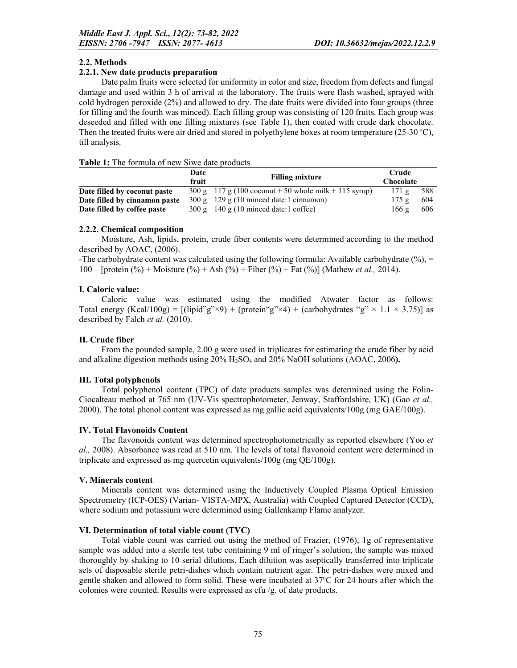## 2.2. Methods

## 2.2.1. New date products preparation

Date palm fruits were selected for uniformity in color and size, freedom from defects and fungal damage and used within 3 h of arrival at the laboratory. The fruits were flash washed, sprayed with cold hydrogen peroxide (2%) and allowed to dry. The date fruits were divided into four groups (three for filling and the fourth was minced). Each filling group was consisting of 120 fruits. Each group was deseeded and filled with one filling mixtures (see Table 1), then coated with crude dark chocolate. Then the treated fruits were air dried and stored in polyethylene boxes at room temperature (25-30 °C), till analysis.

### Table 1: The formula of new Siwe date products

|                               | Date<br>fruit   | <b>Filling mixture</b>                                | Crude<br><b>Chocolate</b> |      |
|-------------------------------|-----------------|-------------------------------------------------------|---------------------------|------|
| Date filled by coconut paste  |                 | 300 g 117 g (100 coconut + 50 whole milk + 115 syrup) | $171\ \mathrm{g}$         | -588 |
| Date filled by cinnamon paste |                 | $300 \text{ g}$ 129 g (10 minced date:1 cinnamon)     | 175g                      | 604  |
| Date filled by coffee paste   | $300 \text{ g}$ | $140 \text{ g}$ (10 minced date:1 coffee)             | 166 g                     | 606  |

## 2.2.2. Chemical composition

Moisture, Ash, lipids, protein, crude fiber contents were determined according to the method described by AOAC, (2006).

-The carbohydrate content was calculated using the following formula: Available carbohydrate  $(\%),$  = 100 – [protein (%) + Moisture (%) + Ash (%) + Fiber (%) + Fat (%)] (Mathew *et al.,* 2014).

## I. Caloric value:

Caloric value was estimated using the modified Atwater factor as follows: Total energy (Kcal/100g) =  $[(lipid"g" \times 9) + (protein "g" \times 4) + (carbondydrates "g" \times 1.1 \times 3.75)]$  as described by Falch *et al.* (2010).

## II. Crude fiber

From the pounded sample, 2.00 g were used in triplicates for estimating the crude fiber by acid and alkaline digestion methods using 20% H2SO4 and 20% NaOH solutions (AOAC, 2006).

## III. Total polyphenols

Total polyphenol content (TPC) of date products samples was determined using the Folin-Ciocalteau method at 765 nm (UV-Vis spectrophotometer, Jenway, Staffordshire, UK) (Gao *et al.,*  2000). The total phenol content was expressed as mg gallic acid equivalents/100g (mg  $GAE/100g$ ).

## IV. Total Flavonoids Content

The flavonoids content was determined spectrophotometrically as reported elsewhere (Yoo *et al.,* 2008). Absorbance was read at 510 nm. The levels of total flavonoid content were determined in triplicate and expressed as mg quercetin equivalents/100g (mg QE/100g).

#### V. Minerals content

Minerals content was determined using the Inductively Coupled Plasma Optical Emission Spectrometry (ICP-OES) (Varian- VISTA-MPX, Australia) with Coupled Captured Detector (CCD), where sodium and potassium were determined using Gallenkamp Flame analyzer.

## VI. Determination of total viable count (TVC)

Total viable count was carried out using the method of Frazier, (1976), 1g of representative sample was added into a sterile test tube containing 9 ml of ringer's solution, the sample was mixed thoroughly by shaking to 10 serial dilutions. Each dilution was aseptically transferred into triplicate sets of disposable sterile petri-dishes which contain nutrient agar. The petri-dishes were mixed and gentle shaken and allowed to form solid. These were incubated at 37°C for 24 hours after which the colonies were counted. Results were expressed as cfu /g. of date products.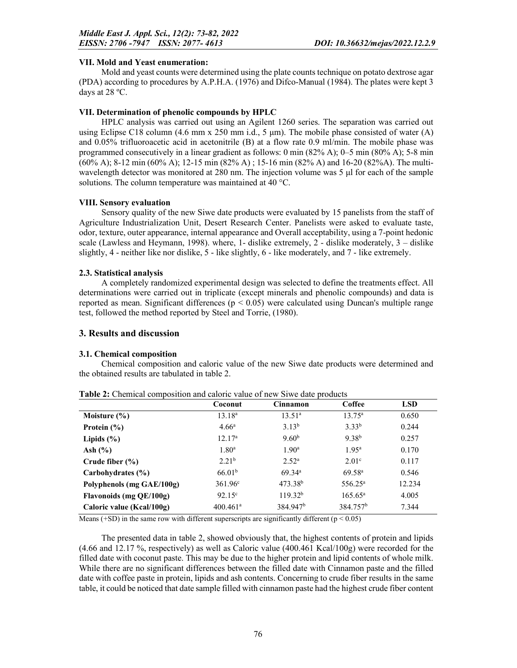## VII. Mold and Yeast enumeration:

Mold and yeast counts were determined using the plate counts technique on potato dextrose agar (PDA) according to procedures by A.P.H.A. (1976) and Difco-Manual (1984). The plates were kept 3 days at 28 ºC.

## VII. Determination of phenolic compounds by HPLC

HPLC analysis was carried out using an Agilent 1260 series. The separation was carried out using Eclipse C18 column (4.6 mm x 250 mm i.d., 5  $\mu$ m). The mobile phase consisted of water (A) and 0.05% trifluoroacetic acid in acetonitrile (B) at a flow rate 0.9 ml/min. The mobile phase was programmed consecutively in a linear gradient as follows: 0 min (82% A); 0–5 min (80% A); 5-8 min (60% A); 8-12 min (60% A); 12-15 min (82% A) ; 15-16 min (82% A) and 16-20 (82%A). The multiwavelength detector was monitored at 280 nm. The injection volume was 5 μl for each of the sample solutions. The column temperature was maintained at 40 °C.

## VIII. Sensory evaluation

Sensory quality of the new Siwe date products were evaluated by 15 panelists from the staff of Agriculture Industrialization Unit, Desert Research Center. Panelists were asked to evaluate taste, odor, texture, outer appearance, internal appearance and Overall acceptability, using a 7-point hedonic scale (Lawless and Heymann, 1998). where, 1- dislike extremely, 2 - dislike moderately,  $3 -$  dislike slightly, 4 - neither like nor dislike, 5 - like slightly, 6 - like moderately, and 7 - like extremely.

### 2.3. Statistical analysis

A completely randomized experimental design was selected to define the treatments effect. All determinations were carried out in triplicate (except minerals and phenolic compounds) and data is reported as mean. Significant differences ( $p < 0.05$ ) were calculated using Duncan's multiple range test, followed the method reported by Steel and Torrie, (1980).

## 3. Results and discussion

## 3.1. Chemical composition

Chemical composition and caloric value of the new Siwe date products were determined and the obtained results are tabulated in table 2.

|                           | Coconut                | Cinnamon             | Coffee               | <b>LSD</b> |
|---------------------------|------------------------|----------------------|----------------------|------------|
| Moisture $(\% )$          | 13.18 <sup>a</sup>     | $13.51^{\circ}$      | $13.75^{\rm a}$      | 0.650      |
| Protein $(\% )$           | 4.66 <sup>a</sup>      | $3.13^{b}$           | $3.33^{b}$           | 0.244      |
| Lipids $(\% )$            | 12.17 <sup>a</sup>     | 9.60 <sup>b</sup>    | $9.38^{b}$           | 0.257      |
| Ash $(\% )$               | $1.80^{\rm a}$         | $1.90^{\rm a}$       | $1.95^{\rm a}$       | 0.170      |
| Crude fiber $(\% )$       | 2.21 <sup>b</sup>      | $2.52^{\rm a}$       | 2.01 <sup>c</sup>    | 0.117      |
| Carbohydrates (%)         | 66.01 <sup>b</sup>     | 69.34 <sup>a</sup>   | 69.58 <sup>a</sup>   | 0.546      |
| Polyphenols (mg GAE/100g) | $361.96^{\circ}$       | $473.38^{b}$         | $556.25^{\rm a}$     | 12.234     |
| Flavonoids (mg QE/100g)   | $92.15^{\circ}$        | $119.32^{b}$         | $165.65^{\rm a}$     | 4.005      |
| Caloric value (Kcal/100g) | $400.461$ <sup>a</sup> | 384.947 <sup>b</sup> | 384.757 <sup>b</sup> | 7.344      |

Table 2: Chemical composition and caloric value of new Siwe date products

Means (+SD) in the same row with different superscripts are significantly different ( $p < 0.05$ )

The presented data in table 2, showed obviously that, the highest contents of protein and lipids (4.66 and 12.17 %, respectively) as well as Caloric value (400.461 Kcal/100g) were recorded for the filled date with coconut paste. This may be due to the higher protein and lipid contents of whole milk. While there are no significant differences between the filled date with Cinnamon paste and the filled date with coffee paste in protein, lipids and ash contents. Concerning to crude fiber results in the same table, it could be noticed that date sample filled with cinnamon paste had the highest crude fiber content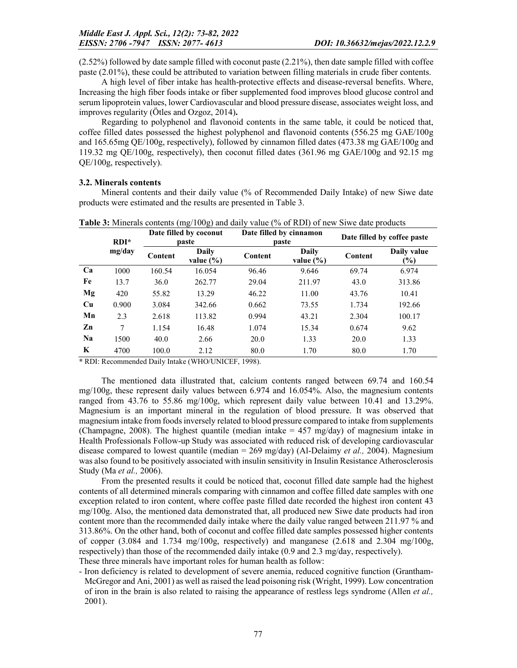(2.52%) followed by date sample filled with coconut paste (2.21%), then date sample filled with coffee paste (2.01%), these could be attributed to variation between filling materials in crude fiber contents.

A high level of fiber intake has health-protective effects and disease-reversal benefits. Where, Increasing the high fiber foods intake or fiber supplemented food improves blood glucose control and serum lipoprotein values, lower Cardiovascular and blood pressure disease, associates weight loss, and improves regularity (Ötles and Ozgoz, 2014).

Regarding to polyphenol and flavonoid contents in the same table, it could be noticed that, coffee filled dates possessed the highest polyphenol and flavonoid contents (556.25 mg GAE/100g and 165.65mg QE/100g, respectively), followed by cinnamon filled dates (473.38 mg GAE/100g and 119.32 mg QE/100g, respectively), then coconut filled dates (361.96 mg GAE/100g and 92.15 mg QE/100g, respectively).

#### 3.2. Minerals contents

Mineral contents and their daily value (% of Recommended Daily Intake) of new Siwe date products were estimated and the results are presented in Table 3.

|           | $RDI^*$ | Date filled by coconut<br>paste |                        | Date filled by cinnamon | paste                  | Date filled by coffee paste |                       |  |
|-----------|---------|---------------------------------|------------------------|-------------------------|------------------------|-----------------------------|-----------------------|--|
|           | mg/day  | Content                         | Daily<br>value $(\% )$ | Content                 | Daily<br>value $(\% )$ | Content                     | Daily value<br>$(\%)$ |  |
| Ca        | 1000    | 160.54                          | 16.054                 | 96.46                   | 9.646                  | 69.74                       | 6.974                 |  |
| Fe        | 13.7    | 36.0                            | 262.77                 | 29.04                   | 211.97                 | 43.0                        | 313.86                |  |
| Mg        | 420     | 55.82                           | 13.29                  | 46.22                   | 11.00                  | 43.76                       | 10.41                 |  |
| Cu        | 0.900   | 3.084                           | 342.66                 | 0.662                   | 73.55                  | 1.734                       | 192.66                |  |
| Mn        | 2.3     | 2.618                           | 113.82                 | 0.994                   | 43.21                  | 2.304                       | 100.17                |  |
| Zn        | 7       | 1.154                           | 16.48                  | 1.074                   | 15.34                  | 0.674                       | 9.62                  |  |
| <b>Na</b> | 1500    | 40.0                            | 2.66                   | 20.0                    | 1.33                   | 20.0                        | 1.33                  |  |
| K         | 4700    | 100.0                           | 2.12                   | 80.0                    | 1.70                   | 80.0                        | 1.70                  |  |

**Table 3:** Minerals contents  $(mg/100g)$  and daily value (% of RDI) of new Siwe date products

\* RDI: Recommended Daily Intake (WHO/UNICEF, 1998).

The mentioned data illustrated that, calcium contents ranged between 69.74 and 160.54 mg/100g, these represent daily values between 6.974 and 16.054%. Also, the magnesium contents ranged from 43.76 to 55.86 mg/100g, which represent daily value between 10.41 and 13.29%. Magnesium is an important mineral in the regulation of blood pressure. It was observed that magnesium intake from foods inversely related to blood pressure compared to intake from supplements (Champagne, 2008). The highest quantile (median intake  $= 457 \text{ mg/day}$ ) of magnesium intake in Health Professionals Follow-up Study was associated with reduced risk of developing cardiovascular disease compared to lowest quantile (median = 269 mg/day) (Al-Delaimy *et al.,* 2004). Magnesium was also found to be positively associated with insulin sensitivity in Insulin Resistance Atherosclerosis Study (Ma *et al.,* 2006).

From the presented results it could be noticed that, coconut filled date sample had the highest contents of all determined minerals comparing with cinnamon and coffee filled date samples with one exception related to iron content, where coffee paste filled date recorded the highest iron content 43 mg/100g. Also, the mentioned data demonstrated that, all produced new Siwe date products had iron content more than the recommended daily intake where the daily value ranged between 211.97 % and 313.86%. On the other hand, both of coconut and coffee filled date samples possessed higher contents of copper  $(3.084 \text{ and } 1.734 \text{ mg}/100 \text{g})$ , respectively) and manganese  $(2.618 \text{ and } 2.304 \text{ mg}/100 \text{g})$ respectively) than those of the recommended daily intake (0.9 and 2.3 mg/day, respectively). These three minerals have important roles for human health as follow:

- Iron deficiency is related to development of severe anemia, reduced cognitive function (Grantham-McGregor and Ani, 2001) as well as raised the lead poisoning risk (Wright, 1999). Low concentration of iron in the brain is also related to raising the appearance of restless legs syndrome (Allen *et al.,*  2001).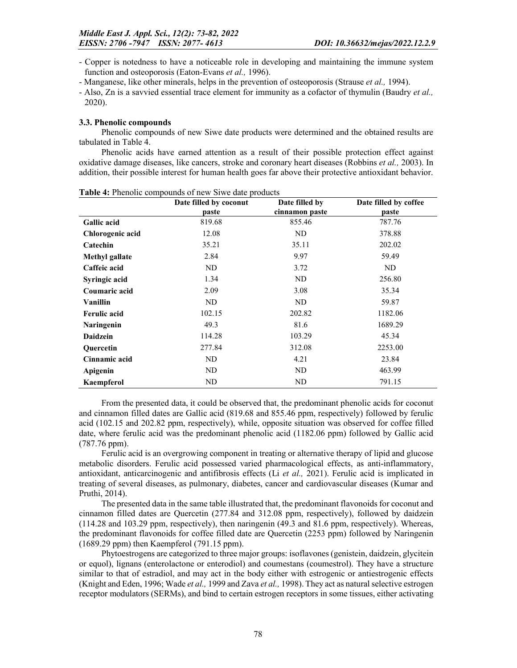- Copper is notedness to have a noticeable role in developing and maintaining the immune system function and osteoporosis (Eaton-Evans *et al.,* 1996).

- Manganese, like other minerals, helps in the prevention of osteoporosis (Strause *et al.,* 1994).

- Also, Zn is a savvied essential trace element for immunity as a cofactor of thymulin (Baudry *et al.,*  2020).

#### 3.3. Phenolic compounds

Phenolic compounds of new Siwe date products were determined and the obtained results are tabulated in Table 4.

Phenolic acids have earned attention as a result of their possible protection effect against oxidative damage diseases, like cancers, stroke and coronary heart diseases (Robbins *et al.,* 2003). In addition, their possible interest for human health goes far above their protective antioxidant behavior.

|                       | Date filled by coconut | Date filled by | Date filled by coffee |
|-----------------------|------------------------|----------------|-----------------------|
|                       | paste                  | cinnamon paste | paste                 |
| <b>Gallic acid</b>    | 819.68                 | 855.46         | 787.76                |
| Chlorogenic acid      | 12.08                  | ND             | 378.88                |
| Catechin              | 35.21                  | 35.11          | 202.02                |
| <b>Methyl gallate</b> | 2.84                   | 9.97           | 59.49                 |
| Caffeic acid          | ND                     | 3.72           | ND                    |
| Syringic acid         | 1.34                   | ND             | 256.80                |
| Coumaric acid         | 2.09                   | 3.08           | 35.34                 |
| Vanillin              | ND                     | ND             | 59.87                 |
| <b>Ferulic acid</b>   | 102.15                 | 202.82         | 1182.06               |
| <b>Naringenin</b>     | 49.3                   | 81.6           | 1689.29               |
| <b>Daidzein</b>       | 114.28                 | 103.29         | 45.34                 |
| <b>Ouercetin</b>      | 277.84                 | 312.08         | 2253.00               |
| Cinnamic acid         | ND                     | 4.21           | 23.84                 |
| Apigenin              | ND                     | ND             | 463.99                |
| Kaempferol            | ND                     | ND             | 791.15                |

Table 4: Phenolic compounds of new Siwe date products

From the presented data, it could be observed that, the predominant phenolic acids for coconut and cinnamon filled dates are Gallic acid (819.68 and 855.46 ppm, respectively) followed by ferulic acid (102.15 and 202.82 ppm, respectively), while, opposite situation was observed for coffee filled date, where ferulic acid was the predominant phenolic acid (1182.06 ppm) followed by Gallic acid (787.76 ppm).

Ferulic acid is an overgrowing component in treating or alternative therapy of lipid and glucose metabolic disorders. Ferulic acid possessed varied pharmacological effects, as anti-inflammatory, antioxidant, anticarcinogenic and antifibrosis effects (Li *et al.,* 2021). Ferulic acid is implicated in treating of several diseases, as pulmonary, diabetes, cancer and cardiovascular diseases (Kumar and Pruthi, 2014).

The presented data in the same table illustrated that, the predominant flavonoids for coconut and cinnamon filled dates are Quercetin (277.84 and 312.08 ppm, respectively), followed by daidzein (114.28 and 103.29 ppm, respectively), then naringenin (49.3 and 81.6 ppm, respectively). Whereas, the predominant flavonoids for coffee filled date are Quercetin (2253 ppm) followed by Naringenin (1689.29 ppm) then Kaempferol (791.15 ppm).

Phytoestrogens are categorized to three major groups: isoflavones (genistein, daidzein, glycitein or equol), lignans (enterolactone or enterodiol) and coumestans (coumestrol). They have a structure similar to that of estradiol, and may act in the body either with estrogenic or antiestrogenic effects (Knight and Eden, 1996; Wade *et al.,* 1999 and Zava *et al.,* 1998). They act as natural selective estrogen receptor modulators (SERMs), and bind to certain estrogen receptors in some tissues, either activating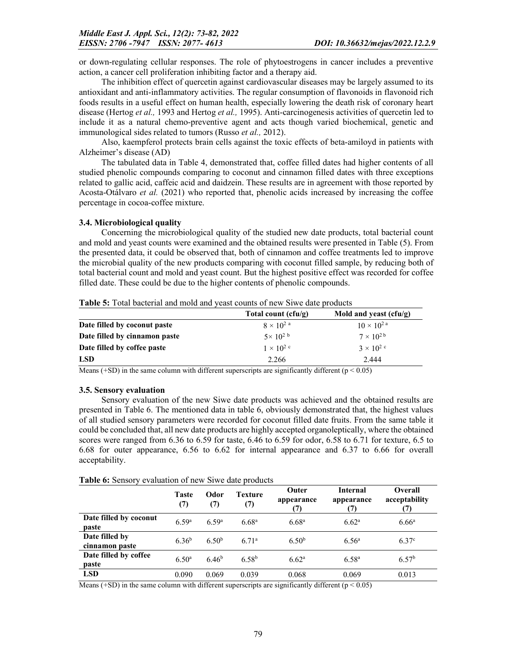or down-regulating cellular responses. The role of phytoestrogens in cancer includes a preventive action, a cancer cell proliferation inhibiting factor and a therapy aid.

The inhibition effect of quercetin against cardiovascular diseases may be largely assumed to its antioxidant and anti-inflammatory activities. The regular consumption of flavonoids in flavonoid rich foods results in a useful effect on human health, especially lowering the death risk of coronary heart disease (Hertog *et al.,* 1993 and Hertog *et al.,* 1995). Anti-carcinogenesis activities of quercetin led to include it as a natural chemo-preventive agent and acts though varied biochemical, genetic and immunological sides related to tumors (Russo *et al.,* 2012).

Also, kaempferol protects brain cells against the toxic effects of beta-amiloyd in patients with Alzheimer's disease (AD)

The tabulated data in Table 4, demonstrated that, coffee filled dates had higher contents of all studied phenolic compounds comparing to coconut and cinnamon filled dates with three exceptions related to gallic acid, caffeic acid and daidzein. These results are in agreement with those reported by Acosta-Otálvaro *et al.* (2021) who reported that, phenolic acids increased by increasing the coffee percentage in cocoa-coffee mixture.

### 3.4. Microbiological quality

Concerning the microbiological quality of the studied new date products, total bacterial count and mold and yeast counts were examined and the obtained results were presented in Table (5). From the presented data, it could be observed that, both of cinnamon and coffee treatments led to improve the microbial quality of the new products comparing with coconut filled sample, by reducing both of total bacterial count and mold and yeast count. But the highest positive effect was recorded for coffee filled date. These could be due to the higher contents of phenolic compounds.

|                               | Total count $(cfu/g)$ | Mold and yeast $(cfu/g)$        |
|-------------------------------|-----------------------|---------------------------------|
| Date filled by coconut paste  | $8 \times 10^{2}$ a   | $10 \times 10^{2}$ <sup>a</sup> |
| Date filled by cinnamon paste | $5 \times 10^{2}$ b   | $7 \times 10^{2}$               |
| Date filled by coffee paste   | $1 \times 10^{2}$ c   | $3 \times 10^{2}$ c             |
| <b>LSD</b>                    | 2.266                 | 2.444                           |

Table 5: Total bacterial and mold and yeast counts of new Siwe date products

Means (+SD) in the same column with different superscripts are significantly different ( $p < 0.05$ )

## 3.5. Sensory evaluation

Sensory evaluation of the new Siwe date products was achieved and the obtained results are presented in Table 6. The mentioned data in table 6, obviously demonstrated that, the highest values of all studied sensory parameters were recorded for coconut filled date fruits. From the same table it could be concluded that, all new date products are highly accepted organoleptically, where the obtained scores were ranged from 6.36 to 6.59 for taste, 6.46 to 6.59 for odor, 6.58 to 6.71 for texture, 6.5 to 6.68 for outer appearance, 6.56 to 6.62 for internal appearance and 6.37 to 6.66 for overall acceptability.

|  |  | Table 6: Sensory evaluation of new Siwe date products |  |  |  |  |
|--|--|-------------------------------------------------------|--|--|--|--|
|--|--|-------------------------------------------------------|--|--|--|--|

|                                  | <b>Taste</b><br>(7) | Odor<br>(7)       | Texture<br>(7)    | Outer<br>appearance<br>7) | <b>Internal</b><br>appearance | <b>Overall</b><br>acceptability |
|----------------------------------|---------------------|-------------------|-------------------|---------------------------|-------------------------------|---------------------------------|
| Date filled by coconut<br>paste  | 6.59a               | 6.59a             | 6.68 <sup>a</sup> | 6.68 <sup>a</sup>         | 6.62 <sup>a</sup>             | $6.66^{\rm a}$                  |
| Date filled by<br>cinnamon paste | $6.36^{b}$          | 6.50 <sup>b</sup> | 6.71 <sup>a</sup> | 6.50 <sup>b</sup>         | $6.56^{\circ}$                | 6.37 <sup>c</sup>               |
| Date filled by coffee<br>paste   | 6.50 <sup>a</sup>   | 6.46 <sup>b</sup> | 6.58 <sup>b</sup> | 6.62 <sup>a</sup>         | $6.58^{a}$                    | 6.57 <sup>b</sup>               |
| <b>LSD</b>                       | 0.090               | 0.069             | 0.039             | 0.068                     | 0.069                         | 0.013                           |

Means ( $+SD$ ) in the same column with different superscripts are significantly different ( $p < 0.05$ )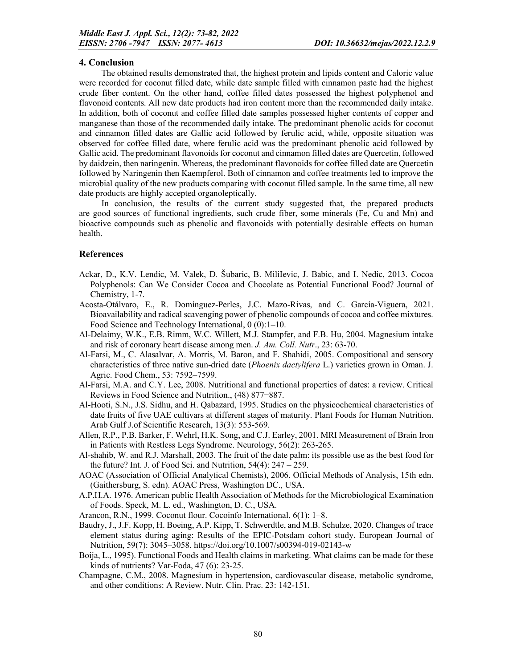## 4. Conclusion

The obtained results demonstrated that, the highest protein and lipids content and Caloric value were recorded for coconut filled date, while date sample filled with cinnamon paste had the highest crude fiber content. On the other hand, coffee filled dates possessed the highest polyphenol and flavonoid contents. All new date products had iron content more than the recommended daily intake. In addition, both of coconut and coffee filled date samples possessed higher contents of copper and manganese than those of the recommended daily intake. The predominant phenolic acids for coconut and cinnamon filled dates are Gallic acid followed by ferulic acid, while, opposite situation was observed for coffee filled date, where ferulic acid was the predominant phenolic acid followed by Gallic acid. The predominant flavonoids for coconut and cinnamon filled dates are Quercetin, followed by daidzein, then naringenin. Whereas, the predominant flavonoids for coffee filled date are Quercetin followed by Naringenin then Kaempferol. Both of cinnamon and coffee treatments led to improve the microbial quality of the new products comparing with coconut filled sample. In the same time, all new date products are highly accepted organoleptically.

In conclusion, the results of the current study suggested that, the prepared products are good sources of functional ingredients, such crude fiber, some minerals (Fe, Cu and Mn) and bioactive compounds such as phenolic and flavonoids with potentially desirable effects on human health.

### References

- Ackar, D., K.V. Lendic, M. Valek, D. Šubaric, B. MiliIevic, J. Babic, and I. Nedic, 2013. Cocoa Polyphenols: Can We Consider Cocoa and Chocolate as Potential Functional Food? Journal of Chemistry, 1-7.
- Acosta-Otálvaro, E., R. Domínguez-Perles, J.C. Mazo-Rivas, and C. García-Viguera, 2021. Bioavailability and radical scavenging power of phenolic compounds of cocoa and coffee mixtures. Food Science and Technology International, 0 (0):1–10.
- Al-Delaimy, W.K., E.B. Rimm, W.C. Willett, M.J. Stampfer, and F.B. Hu, 2004. Magnesium intake and risk of coronary heart disease among men. *J. Am. Coll. Nutr*., 23: 63-70.
- Al-Farsi, M., C. Alasalvar, A. Morris, M. Baron, and F. Shahidi, 2005. Compositional and sensory characteristics of three native sun-dried date (*Phoenix dactylifera* L.) varieties grown in Oman. J. Agric. Food Chem., 53: 7592–7599.
- Al-Farsi, M.A. and C.Y. Lee, 2008. Nutritional and functional properties of dates: a review. Critical Reviews in Food Science and Nutrition., (48) 877−887.
- Al-Hooti, S.N., J.S. Sidhu, and H. Qabazard, 1995. Studies on the physicochemical characteristics of date fruits of five UAE cultivars at different stages of maturity. Plant Foods for Human Nutrition. Arab Gulf J.of Scientific Research, 13(3): 553-569.
- Allen, R.P., P.B. Barker, F. Wehrl, H.K. Song, and C.J. Earley, 2001. MRI Measurement of Brain Iron in Patients with Restless Legs Syndrome. Neurology, 56(2): 263-265.
- Al-shahib, W. and R.J. Marshall, 2003. The fruit of the date palm: its possible use as the best food for the future? Int. J. of Food Sci. and Nutrition,  $54(4)$ :  $247 - 259$ .
- AOAC (Association of Official Analytical Chemists), 2006. Official Methods of Analysis, 15th edn. (Gaithersburg, S. edn). AOAC Press, Washington DC., USA.
- A.P.H.A. 1976. American public Health Association of Methods for the Microbiological Examination of Foods. Speck, M. L. ed., Washington, D. C., USA.
- Arancon, R.N., 1999. Coconut flour. Cocoinfo International, 6(1): 1–8.
- Baudry, J., J.F. Kopp, H. Boeing, A.P. Kipp, T. Schwerdtle, and M.B. Schulze, 2020. Changes of trace element status during aging: Results of the EPIC-Potsdam cohort study. European Journal of Nutrition, 59(7): 3045–3058. https://doi.org/10.1007/s00394-019-02143-w
- Boija, L., 1995). Functional Foods and Health claims in marketing. What claims can be made for these kinds of nutrients? Var-Foda, 47 (6): 23-25.
- Champagne, C.M., 2008. Magnesium in hypertension, cardiovascular disease, metabolic syndrome, and other conditions: A Review. Nutr. Clin. Prac. 23: 142-151.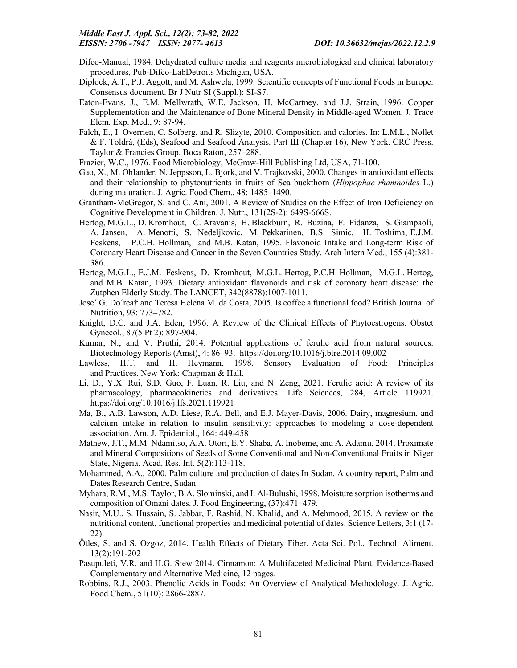- Difco-Manual, 1984. Dehydrated culture media and reagents microbiological and clinical laboratory procedures, Pub-Difco-LabDetroits Michigan, USA.
- Diplock, A.T., P.J. Aggott, and M. Ashwela, 1999. Scientific concepts of Functional Foods in Europe: Consensus document. Br J Nutr SI (Suppl.): SI-S7.
- Eaton-Evans, J., E.M. Mellwrath, W.E. Jackson, H. McCartney, and J.J. Strain, 1996. Copper Supplementation and the Maintenance of Bone Mineral Density in Middle-aged Women. J. Trace Elem. Exp. Med., 9: 87-94.
- Falch, E., I. Overrien, C. Solberg, and R. Slizyte, 2010. Composition and calories. In: L.M.L., Nollet & F. Toldrá, (Eds), Seafood and Seafood Analysis. Part Ш (Chapter 16), New York. CRC Press. Taylor & Francies Group. Boca Raton, 257–288.
- Frazier, W.C., 1976. Food Microbiology, McGraw-Hill Publishing Ltd, USA, 71-100.
- Gao, X., M. Ohlander, N. Jeppsson, L. Bjork, and V. Trajkovski, 2000. Changes in antioxidant effects and their relationship to phytonutrients in fruits of Sea buckthorn (*Hippophae rhamnoides* L.) during maturation. J. Agric. Food Chem., 48: 1485–1490.
- Grantham-McGregor, S. and C. Ani, 2001. A Review of Studies on the Effect of Iron Deficiency on Cognitive Development in Children. J. Nutr., 131(2S-2): 649S-666S.
- Hertog, M.G.L., D. Kromhout, C. Aravanis, H. Blackburn, R. Buzina, F. Fidanza, S. Giampaoli, A. Jansen, A. Menotti, S. Nedeljkovic, M. Pekkarinen, B.S. Simic, H. Toshima, E.J.M. Feskens, P.C.H. Hollman, and M.B. Katan, 1995. Flavonoid Intake and Long-term Risk of Coronary Heart Disease and Cancer in the Seven Countries Study. Arch Intern Med., 155 (4):381- 386.
- Hertog, M.G.L., E.J.M. Feskens, D. Kromhout, M.G.L. Hertog, P.C.H. Hollman, M.G.L. Hertog, and M.B. Katan, 1993. Dietary antioxidant flavonoids and risk of coronary heart disease: the Zutphen Elderly Study. The LANCET, 342(8878):1007-1011.
- Jose´ G. Do´rea† and Teresa Helena M. da Costa, 2005. Is coffee a functional food? British Journal of Nutrition, 93: 773–782.
- Knight, D.C. and J.A. Eden, 1996. A Review of the Clinical Effects of Phytoestrogens. Obstet Gynecol., 87(5 Pt 2): 897-904.
- Kumar, N., and V. Pruthi, 2014. Potential applications of ferulic acid from natural sources. Biotechnology Reports (Amst), 4: 86–93. https://doi.org/10.1016/j.btre.2014.09.002
- Lawless, H.T. and H. Heymann, 1998. Sensory Evaluation of Food: Principles and Practices. New York: Chapman & Hall.
- Li, D., Y.X. Rui, S.D. Guo, F. Luan, R. Liu, and N. Zeng, 2021. Ferulic acid: A review of its pharmacology, pharmacokinetics and derivatives. Life Sciences, 284, Article 119921. https://doi.org/10.1016/j.lfs.2021.119921
- Ma, B., A.B. Lawson, A.D. Liese, R.A. Bell, and E.J. Mayer-Davis, 2006. Dairy, magnesium, and calcium intake in relation to insulin sensitivity: approaches to modeling a dose-dependent association. Am. J. Epidemiol., 164: 449-458
- Mathew, J.T., M.M. Ndamitso, A.A. Otori, E.Y. Shaba, A. Inobeme, and A. Adamu, 2014. Proximate and Mineral Compositions of Seeds of Some Conventional and Non-Conventional Fruits in Niger State, Nigeria. Acad. Res. Int. 5(2):113-118.
- Mohammed, A.A., 2000. Palm culture and production of dates In Sudan. A country report, Palm and Dates Research Centre, Sudan.
- Myhara, R.M., M.S. Taylor, B.A. Slominski, and I. Al-Bulushi, 1998. Moisture sorption isotherms and composition of Omani dates. J. Food Engineering, (37):471–479.
- Nasir, M.U., S. Hussain, S. Jabbar, F. Rashid, N. Khalid, and A. Mehmood, 2015. A review on the nutritional content, functional properties and medicinal potential of dates. Science Letters, 3:1 (17- 22).
- Ötles, S. and S. Ozgoz, 2014. Health Effects of Dietary Fiber. Acta Sci. Pol., Technol. Aliment. 13(2):191-202
- Pasupuleti, V.R. and H.G. Siew 2014. Cinnamon: A Multifaceted Medicinal Plant. Evidence-Based Complementary and Alternative Medicine, 12 pages.
- Robbins, R.J., 2003. Phenolic Acids in Foods: An Overview of Analytical Methodology. J. Agric. Food Chem., 51(10): 2866-2887.